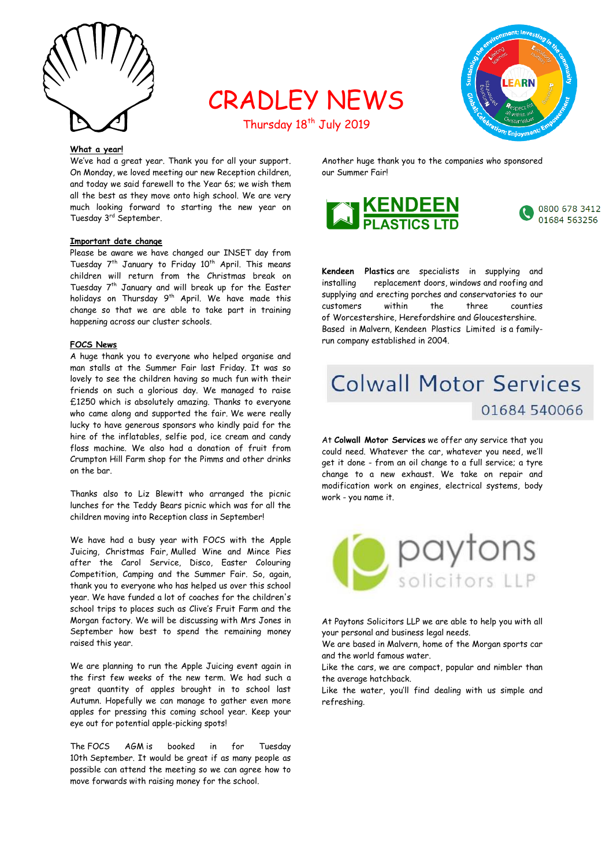

CRADLEY NEWS Thursday 18<sup>th</sup> July 2019



#### **What a year!**

We've had a great year. Thank you for all your support. On Monday, we loved meeting our new Reception children, and today we said farewell to the Year 6s; we wish them all the best as they move onto high school. We are very much looking forward to starting the new year on Tuesday 3rd September.

### **Important date change**

Please be aware we have changed our INSET day from Tuesday 7<sup>th</sup> January to Friday 10<sup>th</sup> April. This means children will return from the Christmas break on Tuesday  $7<sup>th</sup>$  January and will break up for the Easter holidays on Thursday 9<sup>th</sup> April. We have made this change so that we are able to take part in training happening across our cluster schools.

### **FOCS News**

A huge thank you to everyone who helped organise and man stalls at the Summer Fair last Friday. It was so lovely to see the children having so much fun with their friends on such a glorious day. We managed to raise £1250 which is absolutely amazing. Thanks to everyone who came along and supported the fair. We were really lucky to have generous sponsors who kindly paid for the hire of the inflatables, selfie pod, ice cream and candy floss machine. We also had a donation of fruit from Crumpton Hill Farm shop for the Pimms and other drinks on the bar.

Thanks also to Liz Blewitt who arranged the picnic lunches for the Teddy Bears picnic which was for all the children moving into Reception class in September!

We have had a busy year with FOCS with the Apple Juicing, Christmas Fair, Mulled Wine and Mince Pies after the Carol Service, Disco, Easter Colouring Competition, Camping and the Summer Fair. So, again, thank you to everyone who has helped us over this school year. We have funded a lot of coaches for the children's school trips to places such as Clive's Fruit Farm and the Morgan factory. We will be discussing with Mrs Jones in September how best to spend the remaining money raised this year.

We are planning to run the Apple Juicing event again in the first few weeks of the new term. We had such a great quantity of apples brought in to school last Autumn. Hopefully we can manage to gather even more apples for pressing this coming school year. Keep your eye out for potential apple-picking spots!

The FOCS AGM is booked in for Tuesday 10th September. It would be great if as many people as possible can attend the meeting so we can agree how to move forwards with raising money for the school.

Another huge thank you to the companies who sponsored our Summer Fair!





**Kendeen Plastics** are specialists in supplying and installing replacement doors, windows and roofing and supplying and erecting porches and conservatories to our customers within the three counties of Worcestershire, Herefordshire and Gloucestershire. Based in Malvern, Kendeen Plastics Limited is a familyrun company established in 2004.

# **Colwall Motor Services** 01684 540066

At **Colwall Motor Services** we offer any service that you could need. Whatever the car, whatever you need, we'll get it done - from an oil change to a full service; a tyre change to a new exhaust. We take on repair and modification work on engines, electrical systems, body work - you name it.



At Paytons Solicitors LLP we are able to help you with all your personal and business legal needs.

We are based in Malvern, home of the Morgan sports car and the world famous water.

Like the cars, we are compact, popular and nimbler than the average hatchback.

Like the water, you'll find dealing with us simple and refreshing.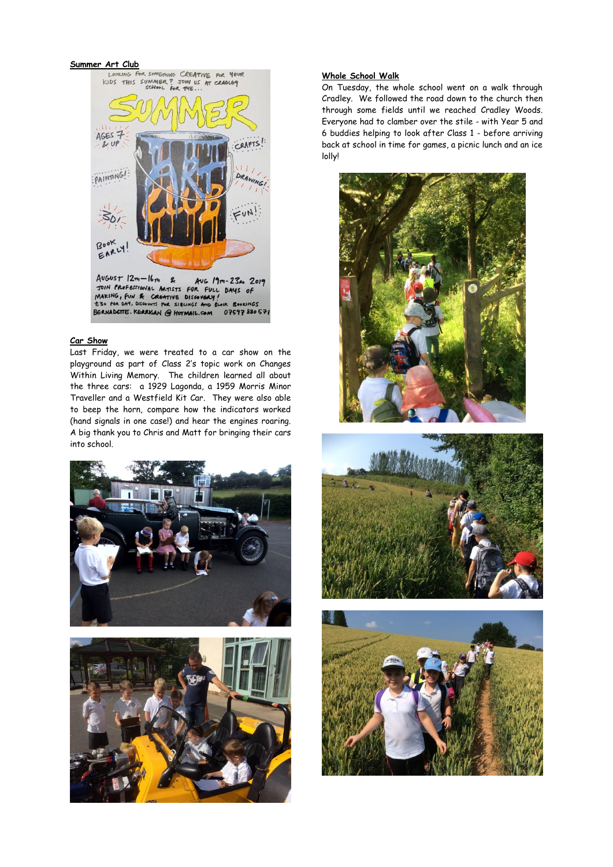

BERNADETTE. KERRIGAN @ HOTMAIL.COM 07597 880 57

#### **Car Show**

Last Friday, we were treated to a car show on the playground as part of Class 2's topic work on Changes Within Living Memory. The children learned all about the three cars: a 1929 Lagonda, a 1959 Morris Minor Traveller and a Westfield Kit Car. They were also able to beep the horn, compare how the indicators worked (hand signals in one case!) and hear the engines roaring. A big thank you to Chris and Matt for bringing their cars into school.





# **Whole School Walk**

On Tuesday, the whole school went on a walk through Cradley. We followed the road down to the church then through some fields until we reached Cradley Woods. Everyone had to clamber over the stile - with Year 5 and 6 buddies helping to look after Class 1 - before arriving back at school in time for games, a picnic lunch and an ice lolly!